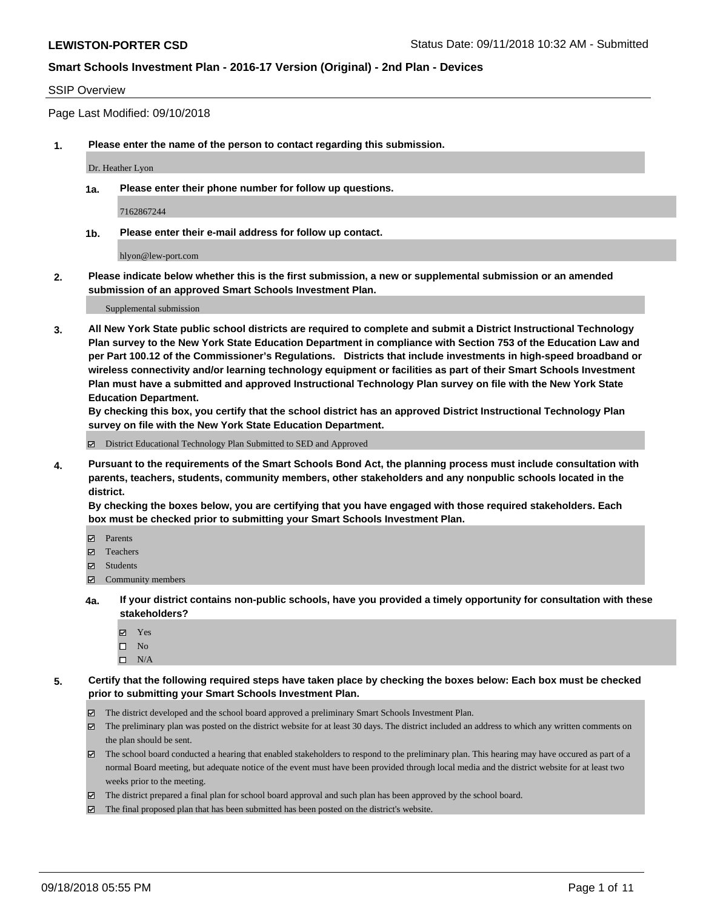#### SSIP Overview

Page Last Modified: 09/10/2018

**1. Please enter the name of the person to contact regarding this submission.**

Dr. Heather Lyon

**1a. Please enter their phone number for follow up questions.**

7162867244

**1b. Please enter their e-mail address for follow up contact.**

hlyon@lew-port.com

**2. Please indicate below whether this is the first submission, a new or supplemental submission or an amended submission of an approved Smart Schools Investment Plan.**

Supplemental submission

**3. All New York State public school districts are required to complete and submit a District Instructional Technology Plan survey to the New York State Education Department in compliance with Section 753 of the Education Law and per Part 100.12 of the Commissioner's Regulations. Districts that include investments in high-speed broadband or wireless connectivity and/or learning technology equipment or facilities as part of their Smart Schools Investment Plan must have a submitted and approved Instructional Technology Plan survey on file with the New York State Education Department.** 

**By checking this box, you certify that the school district has an approved District Instructional Technology Plan survey on file with the New York State Education Department.**

District Educational Technology Plan Submitted to SED and Approved

**4. Pursuant to the requirements of the Smart Schools Bond Act, the planning process must include consultation with parents, teachers, students, community members, other stakeholders and any nonpublic schools located in the district.** 

**By checking the boxes below, you are certifying that you have engaged with those required stakeholders. Each box must be checked prior to submitting your Smart Schools Investment Plan.**

- Parents
- Teachers
- Students
- $\Xi$  Community members
- **4a. If your district contains non-public schools, have you provided a timely opportunity for consultation with these stakeholders?**
	- Yes
	- $\square$  No
	- $\square$  N/A
- **5. Certify that the following required steps have taken place by checking the boxes below: Each box must be checked prior to submitting your Smart Schools Investment Plan.**
	- The district developed and the school board approved a preliminary Smart Schools Investment Plan.
	- $\boxtimes$  The preliminary plan was posted on the district website for at least 30 days. The district included an address to which any written comments on the plan should be sent.
	- $\boxtimes$  The school board conducted a hearing that enabled stakeholders to respond to the preliminary plan. This hearing may have occured as part of a normal Board meeting, but adequate notice of the event must have been provided through local media and the district website for at least two weeks prior to the meeting.
	- The district prepared a final plan for school board approval and such plan has been approved by the school board.
	- $\boxtimes$  The final proposed plan that has been submitted has been posted on the district's website.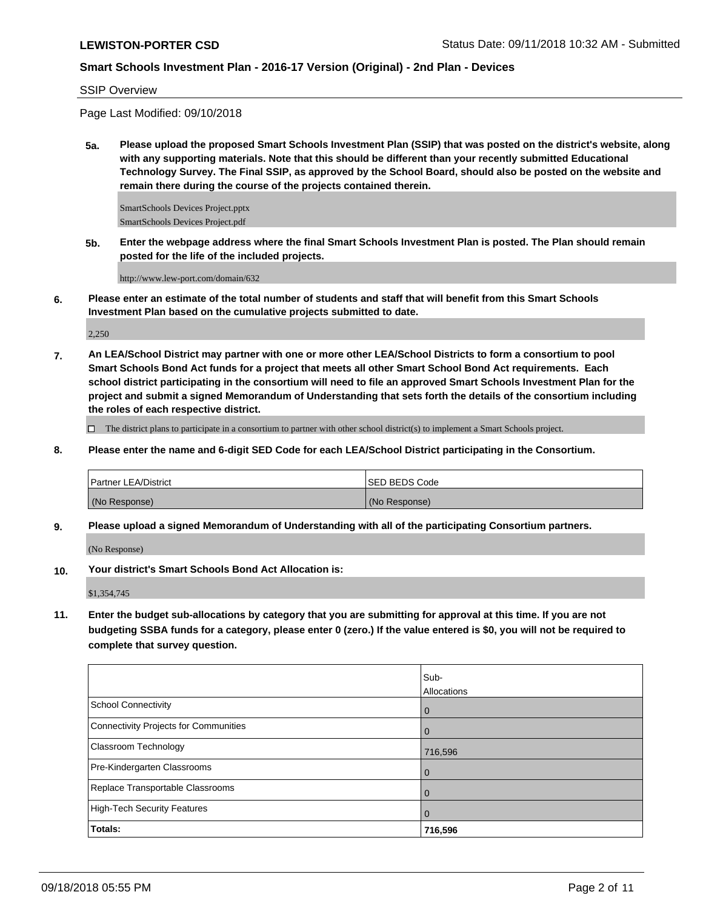SSIP Overview

Page Last Modified: 09/10/2018

**5a. Please upload the proposed Smart Schools Investment Plan (SSIP) that was posted on the district's website, along with any supporting materials. Note that this should be different than your recently submitted Educational Technology Survey. The Final SSIP, as approved by the School Board, should also be posted on the website and remain there during the course of the projects contained therein.**

SmartSchools Devices Project.pptx SmartSchools Devices Project.pdf

**5b. Enter the webpage address where the final Smart Schools Investment Plan is posted. The Plan should remain posted for the life of the included projects.**

http://www.lew-port.com/domain/632

**6. Please enter an estimate of the total number of students and staff that will benefit from this Smart Schools Investment Plan based on the cumulative projects submitted to date.**

2,250

**7. An LEA/School District may partner with one or more other LEA/School Districts to form a consortium to pool Smart Schools Bond Act funds for a project that meets all other Smart School Bond Act requirements. Each school district participating in the consortium will need to file an approved Smart Schools Investment Plan for the project and submit a signed Memorandum of Understanding that sets forth the details of the consortium including the roles of each respective district.**

 $\Box$  The district plans to participate in a consortium to partner with other school district(s) to implement a Smart Schools project.

**8. Please enter the name and 6-digit SED Code for each LEA/School District participating in the Consortium.**

| <b>Partner LEA/District</b> | <b>ISED BEDS Code</b> |
|-----------------------------|-----------------------|
| (No Response)               | (No Response)         |

**9. Please upload a signed Memorandum of Understanding with all of the participating Consortium partners.**

(No Response)

**10. Your district's Smart Schools Bond Act Allocation is:**

\$1,354,745

**11. Enter the budget sub-allocations by category that you are submitting for approval at this time. If you are not budgeting SSBA funds for a category, please enter 0 (zero.) If the value entered is \$0, you will not be required to complete that survey question.**

|                                              | Sub-        |
|----------------------------------------------|-------------|
|                                              | Allocations |
| <b>School Connectivity</b>                   | l 0         |
| <b>Connectivity Projects for Communities</b> | l O         |
| Classroom Technology                         | 716,596     |
| Pre-Kindergarten Classrooms                  | l O         |
| Replace Transportable Classrooms             |             |
| <b>High-Tech Security Features</b>           | <b>O</b>    |
| Totals:                                      | 716,596     |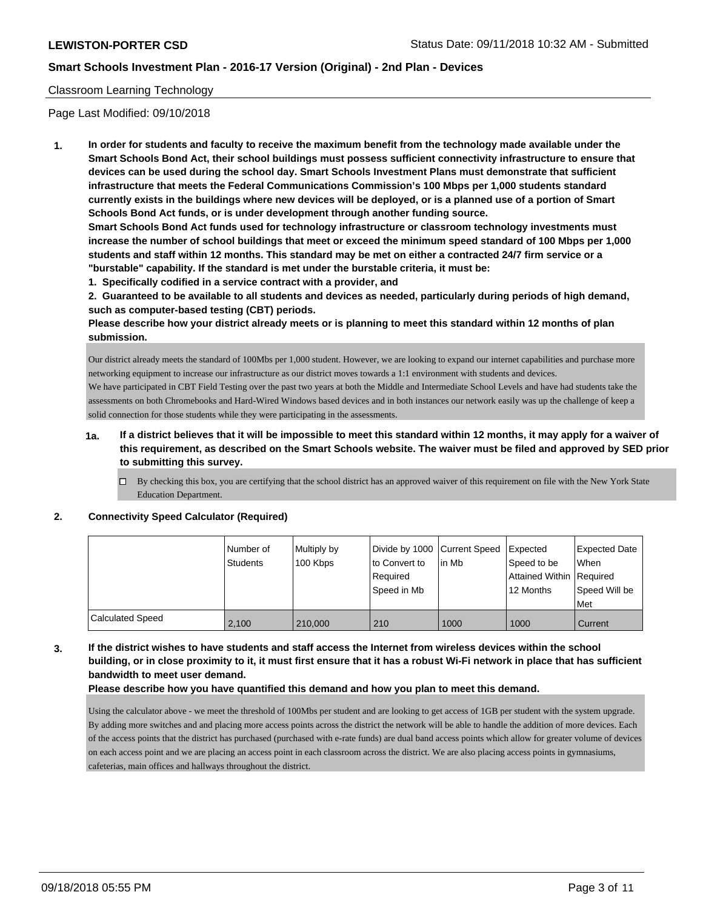### Classroom Learning Technology

Page Last Modified: 09/10/2018

**1. In order for students and faculty to receive the maximum benefit from the technology made available under the Smart Schools Bond Act, their school buildings must possess sufficient connectivity infrastructure to ensure that devices can be used during the school day. Smart Schools Investment Plans must demonstrate that sufficient infrastructure that meets the Federal Communications Commission's 100 Mbps per 1,000 students standard currently exists in the buildings where new devices will be deployed, or is a planned use of a portion of Smart Schools Bond Act funds, or is under development through another funding source.**

**Smart Schools Bond Act funds used for technology infrastructure or classroom technology investments must increase the number of school buildings that meet or exceed the minimum speed standard of 100 Mbps per 1,000 students and staff within 12 months. This standard may be met on either a contracted 24/7 firm service or a "burstable" capability. If the standard is met under the burstable criteria, it must be:**

**1. Specifically codified in a service contract with a provider, and**

**2. Guaranteed to be available to all students and devices as needed, particularly during periods of high demand, such as computer-based testing (CBT) periods.**

**Please describe how your district already meets or is planning to meet this standard within 12 months of plan submission.**

Our district already meets the standard of 100Mbs per 1,000 student. However, we are looking to expand our internet capabilities and purchase more networking equipment to increase our infrastructure as our district moves towards a 1:1 environment with students and devices. We have participated in CBT Field Testing over the past two years at both the Middle and Intermediate School Levels and have had students take the assessments on both Chromebooks and Hard-Wired Windows based devices and in both instances our network easily was up the challenge of keep a solid connection for those students while they were participating in the assessments.

- **1a. If a district believes that it will be impossible to meet this standard within 12 months, it may apply for a waiver of this requirement, as described on the Smart Schools website. The waiver must be filed and approved by SED prior to submitting this survey.**
	- $\Box$  By checking this box, you are certifying that the school district has an approved waiver of this requirement on file with the New York State Education Department.

#### **2. Connectivity Speed Calculator (Required)**

|                         | l Number of<br><b>Students</b> | Multiply by<br>100 Kbps | to Convert to<br>Required<br>Speed in Mb | Divide by 1000 Current Speed Expected<br>l in Mb | Speed to be<br>Attained Within Required<br>12 Months | Expected Date<br>When<br>Speed Will be<br>Met |
|-------------------------|--------------------------------|-------------------------|------------------------------------------|--------------------------------------------------|------------------------------------------------------|-----------------------------------------------|
| <b>Calculated Speed</b> | 2,100                          | 210,000                 | 210                                      | 1000                                             | 1000                                                 | Current                                       |

**3. If the district wishes to have students and staff access the Internet from wireless devices within the school building, or in close proximity to it, it must first ensure that it has a robust Wi-Fi network in place that has sufficient bandwidth to meet user demand.**

#### **Please describe how you have quantified this demand and how you plan to meet this demand.**

Using the calculator above - we meet the threshold of 100Mbs per student and are looking to get access of 1GB per student with the system upgrade. By adding more switches and and placing more access points across the district the network will be able to handle the addition of more devices. Each of the access points that the district has purchased (purchased with e-rate funds) are dual band access points which allow for greater volume of devices on each access point and we are placing an access point in each classroom across the district. We are also placing access points in gymnasiums, cafeterias, main offices and hallways throughout the district.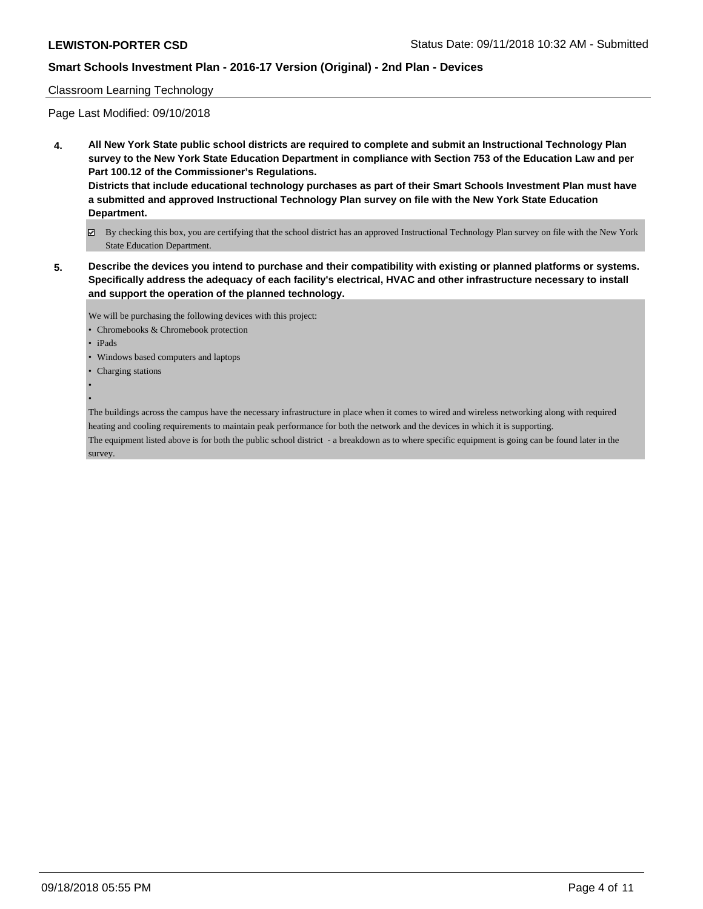#### Classroom Learning Technology

Page Last Modified: 09/10/2018

**4. All New York State public school districts are required to complete and submit an Instructional Technology Plan survey to the New York State Education Department in compliance with Section 753 of the Education Law and per Part 100.12 of the Commissioner's Regulations.**

**Districts that include educational technology purchases as part of their Smart Schools Investment Plan must have a submitted and approved Instructional Technology Plan survey on file with the New York State Education Department.**

- By checking this box, you are certifying that the school district has an approved Instructional Technology Plan survey on file with the New York State Education Department.
- **5. Describe the devices you intend to purchase and their compatibility with existing or planned platforms or systems. Specifically address the adequacy of each facility's electrical, HVAC and other infrastructure necessary to install and support the operation of the planned technology.**

We will be purchasing the following devices with this project:

- Chromebooks & Chromebook protection
- iPads
- Windows based computers and laptops
- Charging stations
- •

The buildings across the campus have the necessary infrastructure in place when it comes to wired and wireless networking along with required heating and cooling requirements to maintain peak performance for both the network and the devices in which it is supporting.

The equipment listed above is for both the public school district - a breakdown as to where specific equipment is going can be found later in the survey.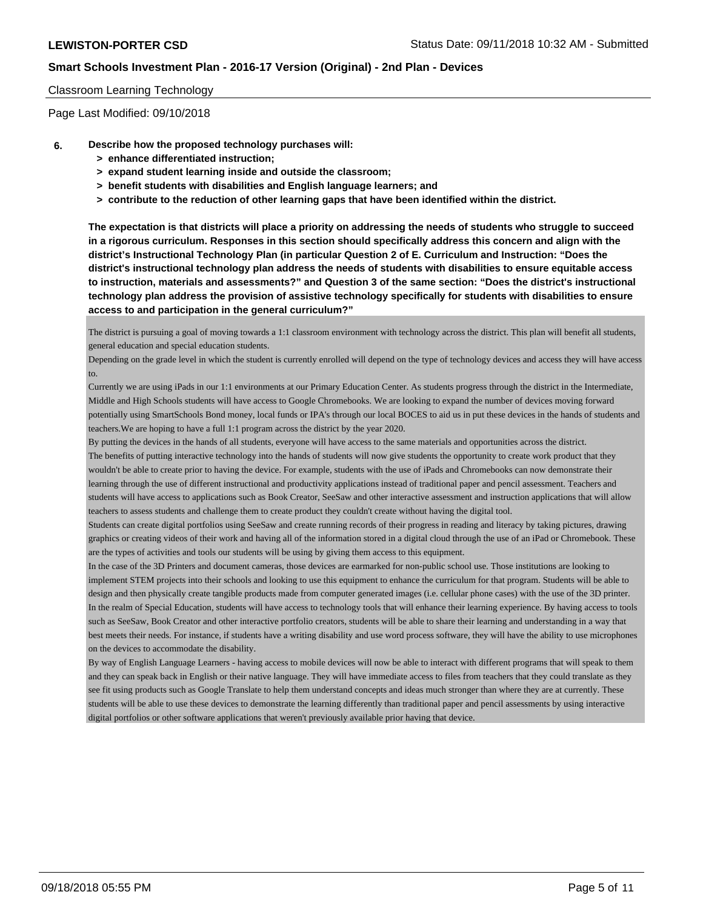#### Classroom Learning Technology

Page Last Modified: 09/10/2018

- **6. Describe how the proposed technology purchases will:**
	- **> enhance differentiated instruction;**
	- **> expand student learning inside and outside the classroom;**
	- **> benefit students with disabilities and English language learners; and**
	- **> contribute to the reduction of other learning gaps that have been identified within the district.**

**The expectation is that districts will place a priority on addressing the needs of students who struggle to succeed in a rigorous curriculum. Responses in this section should specifically address this concern and align with the district's Instructional Technology Plan (in particular Question 2 of E. Curriculum and Instruction: "Does the district's instructional technology plan address the needs of students with disabilities to ensure equitable access to instruction, materials and assessments?" and Question 3 of the same section: "Does the district's instructional technology plan address the provision of assistive technology specifically for students with disabilities to ensure access to and participation in the general curriculum?"**

The district is pursuing a goal of moving towards a 1:1 classroom environment with technology across the district. This plan will benefit all students, general education and special education students.

Depending on the grade level in which the student is currently enrolled will depend on the type of technology devices and access they will have access to.

Currently we are using iPads in our 1:1 environments at our Primary Education Center. As students progress through the district in the Intermediate, Middle and High Schools students will have access to Google Chromebooks. We are looking to expand the number of devices moving forward potentially using SmartSchools Bond money, local funds or IPA's through our local BOCES to aid us in put these devices in the hands of students and teachers.We are hoping to have a full 1:1 program across the district by the year 2020.

By putting the devices in the hands of all students, everyone will have access to the same materials and opportunities across the district. The benefits of putting interactive technology into the hands of students will now give students the opportunity to create work product that they wouldn't be able to create prior to having the device. For example, students with the use of iPads and Chromebooks can now demonstrate their learning through the use of different instructional and productivity applications instead of traditional paper and pencil assessment. Teachers and students will have access to applications such as Book Creator, SeeSaw and other interactive assessment and instruction applications that will allow teachers to assess students and challenge them to create product they couldn't create without having the digital tool.

Students can create digital portfolios using SeeSaw and create running records of their progress in reading and literacy by taking pictures, drawing graphics or creating videos of their work and having all of the information stored in a digital cloud through the use of an iPad or Chromebook. These are the types of activities and tools our students will be using by giving them access to this equipment.

In the case of the 3D Printers and document cameras, those devices are earmarked for non-public school use. Those institutions are looking to implement STEM projects into their schools and looking to use this equipment to enhance the curriculum for that program. Students will be able to design and then physically create tangible products made from computer generated images (i.e. cellular phone cases) with the use of the 3D printer. In the realm of Special Education, students will have access to technology tools that will enhance their learning experience. By having access to tools such as SeeSaw, Book Creator and other interactive portfolio creators, students will be able to share their learning and understanding in a way that best meets their needs. For instance, if students have a writing disability and use word process software, they will have the ability to use microphones on the devices to accommodate the disability.

By way of English Language Learners - having access to mobile devices will now be able to interact with different programs that will speak to them and they can speak back in English or their native language. They will have immediate access to files from teachers that they could translate as they see fit using products such as Google Translate to help them understand concepts and ideas much stronger than where they are at currently. These students will be able to use these devices to demonstrate the learning differently than traditional paper and pencil assessments by using interactive digital portfolios or other software applications that weren't previously available prior having that device.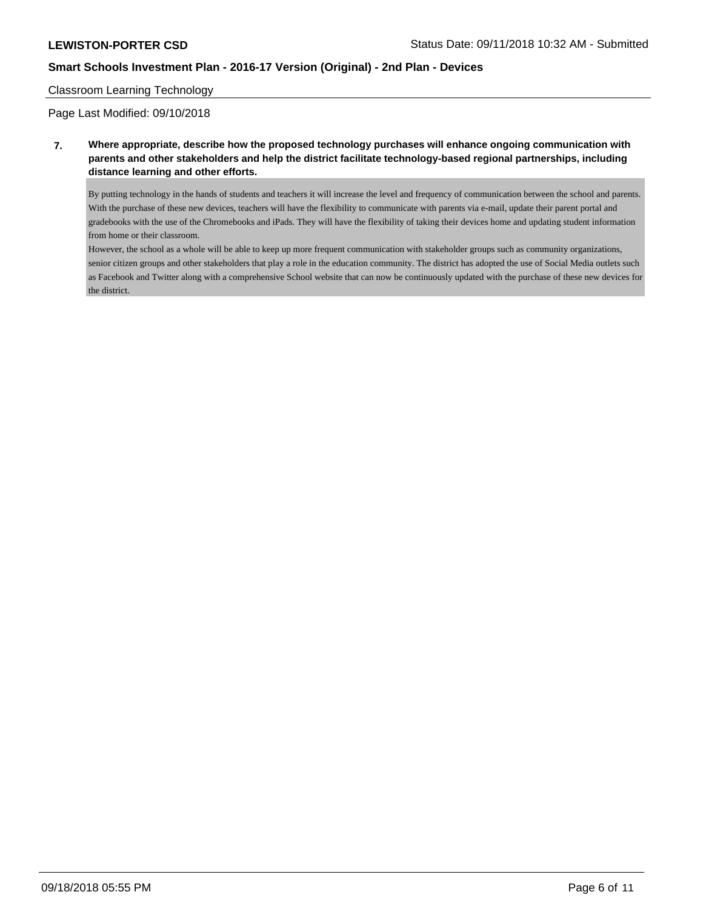#### Classroom Learning Technology

Page Last Modified: 09/10/2018

## **7. Where appropriate, describe how the proposed technology purchases will enhance ongoing communication with parents and other stakeholders and help the district facilitate technology-based regional partnerships, including distance learning and other efforts.**

By putting technology in the hands of students and teachers it will increase the level and frequency of communication between the school and parents. With the purchase of these new devices, teachers will have the flexibility to communicate with parents via e-mail, update their parent portal and gradebooks with the use of the Chromebooks and iPads. They will have the flexibility of taking their devices home and updating student information from home or their classroom.

However, the school as a whole will be able to keep up more frequent communication with stakeholder groups such as community organizations, senior citizen groups and other stakeholders that play a role in the education community. The district has adopted the use of Social Media outlets such as Facebook and Twitter along with a comprehensive School website that can now be continuously updated with the purchase of these new devices for the district.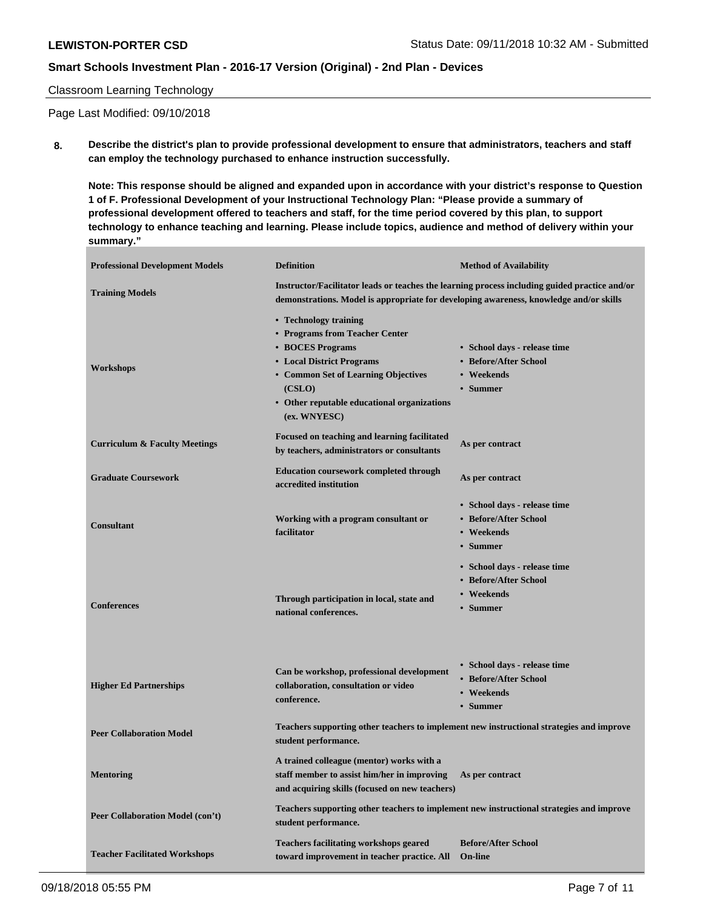#### Classroom Learning Technology

Page Last Modified: 09/10/2018

**8. Describe the district's plan to provide professional development to ensure that administrators, teachers and staff can employ the technology purchased to enhance instruction successfully.**

**Note: This response should be aligned and expanded upon in accordance with your district's response to Question 1 of F. Professional Development of your Instructional Technology Plan: "Please provide a summary of professional development offered to teachers and staff, for the time period covered by this plan, to support technology to enhance teaching and learning. Please include topics, audience and method of delivery within your summary."**

| <b>Professional Development Models</b>   | <b>Definition</b>                                                                                                                                                                                                        | <b>Method of Availability</b>                                                   |  |  |
|------------------------------------------|--------------------------------------------------------------------------------------------------------------------------------------------------------------------------------------------------------------------------|---------------------------------------------------------------------------------|--|--|
| <b>Training Models</b>                   | Instructor/Facilitator leads or teaches the learning process including guided practice and/or<br>demonstrations. Model is appropriate for developing awareness, knowledge and/or skills                                  |                                                                                 |  |  |
| Workshops                                | • Technology training<br>• Programs from Teacher Center<br>• BOCES Programs<br>• Local District Programs<br>• Common Set of Learning Objectives<br>(CSLO)<br>• Other reputable educational organizations<br>(ex. WNYESC) | • School days - release time<br>• Before/After School<br>• Weekends<br>• Summer |  |  |
| <b>Curriculum &amp; Faculty Meetings</b> | Focused on teaching and learning facilitated<br>by teachers, administrators or consultants                                                                                                                               | As per contract                                                                 |  |  |
| <b>Graduate Coursework</b>               | <b>Education coursework completed through</b><br>accredited institution                                                                                                                                                  | As per contract                                                                 |  |  |
| <b>Consultant</b>                        | Working with a program consultant or<br>facilitator                                                                                                                                                                      | • School days - release time<br>• Before/After School<br>• Weekends<br>• Summer |  |  |
| <b>Conferences</b>                       | Through participation in local, state and<br>national conferences.                                                                                                                                                       | • School days - release time<br>• Before/After School<br>• Weekends<br>• Summer |  |  |
| <b>Higher Ed Partnerships</b>            | Can be workshop, professional development<br>collaboration, consultation or video<br>conference.                                                                                                                         | • School days - release time<br>• Before/After School<br>• Weekends<br>• Summer |  |  |
| <b>Peer Collaboration Model</b>          | Teachers supporting other teachers to implement new instructional strategies and improve<br>student performance.                                                                                                         |                                                                                 |  |  |
| <b>Mentoring</b>                         | A trained colleague (mentor) works with a<br>staff member to assist him/her in improving As per contract<br>and acquiring skills (focused on new teachers)                                                               |                                                                                 |  |  |
| Peer Collaboration Model (con't)         | Teachers supporting other teachers to implement new instructional strategies and improve<br>student performance.                                                                                                         |                                                                                 |  |  |
| <b>Teacher Facilitated Workshops</b>     | Teachers facilitating workshops geared<br>toward improvement in teacher practice. All                                                                                                                                    | <b>Before/After School</b><br><b>On-line</b>                                    |  |  |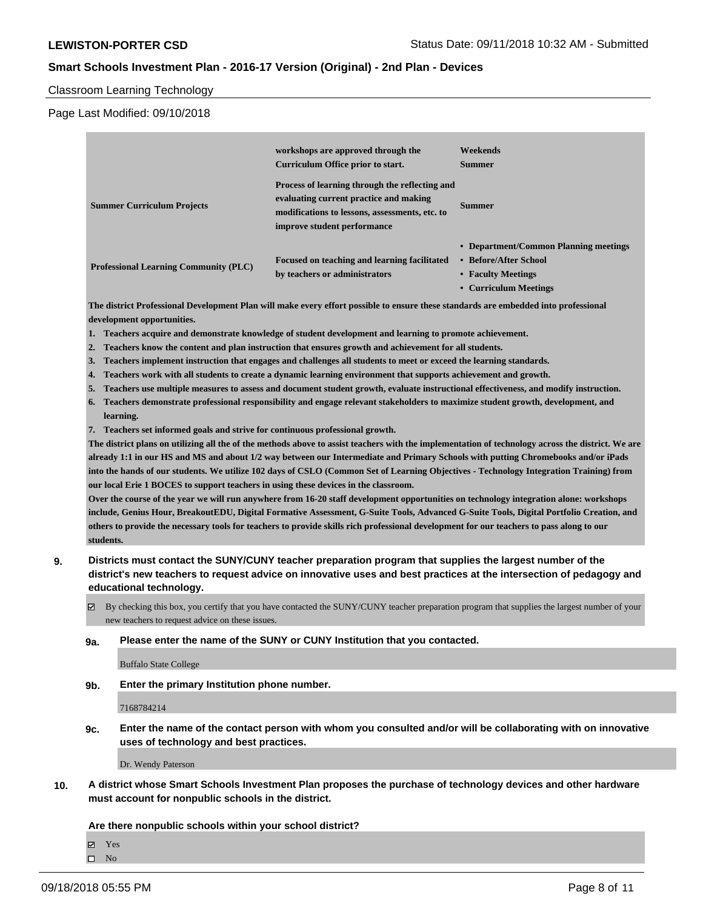Classroom Learning Technology

Page Last Modified: 09/10/2018

|                                              | workshops are approved through the<br>Curriculum Office prior to start.                                                                                                   | Weekends<br><b>Summer</b>                                                                                     |
|----------------------------------------------|---------------------------------------------------------------------------------------------------------------------------------------------------------------------------|---------------------------------------------------------------------------------------------------------------|
| <b>Summer Curriculum Projects</b>            | Process of learning through the reflecting and<br>evaluating current practice and making<br>modifications to lessons, assessments, etc. to<br>improve student performance | <b>Summer</b>                                                                                                 |
| <b>Professional Learning Community (PLC)</b> | Focused on teaching and learning facilitated<br>by teachers or administrators                                                                                             | • Department/Common Planning meetings<br>• Before/After School<br>• Faculty Meetings<br>• Curriculum Meetings |

**The district Professional Development Plan will make every effort possible to ensure these standards are embedded into professional development opportunities.**

- **1. Teachers acquire and demonstrate knowledge of student development and learning to promote achievement.**
- **2. Teachers know the content and plan instruction that ensures growth and achievement for all students.**
- **3. Teachers implement instruction that engages and challenges all students to meet or exceed the learning standards.**
- **4. Teachers work with all students to create a dynamic learning environment that supports achievement and growth.**
- **5. Teachers use multiple measures to assess and document student growth, evaluate instructional effectiveness, and modify instruction.**
- **6. Teachers demonstrate professional responsibility and engage relevant stakeholders to maximize student growth, development, and learning.**
- **7. Teachers set informed goals and strive for continuous professional growth.**

**The district plans on utilizing all the of the methods above to assist teachers with the implementation of technology across the district. We are already 1:1 in our HS and MS and about 1/2 way between our Intermediate and Primary Schools with putting Chromebooks and/or iPads into the hands of our students. We utilize 102 days of CSLO (Common Set of Learning Objectives - Technology Integration Training) from our local Erie 1 BOCES to support teachers in using these devices in the classroom.**

**Over the course of the year we will run anywhere from 16-20 staff development opportunities on technology integration alone: workshops include, Genius Hour, BreakoutEDU, Digital Formative Assessment, G-Suite Tools, Advanced G-Suite Tools, Digital Portfolio Creation, and others to provide the necessary tools for teachers to provide skills rich professional development for our teachers to pass along to our students.**

- **9. Districts must contact the SUNY/CUNY teacher preparation program that supplies the largest number of the district's new teachers to request advice on innovative uses and best practices at the intersection of pedagogy and educational technology.**
	- $\boxtimes$  By checking this box, you certify that you have contacted the SUNY/CUNY teacher preparation program that supplies the largest number of your new teachers to request advice on these issues.
	- **9a. Please enter the name of the SUNY or CUNY Institution that you contacted.**

Buffalo State College

**9b. Enter the primary Institution phone number.**

7168784214

**9c. Enter the name of the contact person with whom you consulted and/or will be collaborating with on innovative uses of technology and best practices.**

Dr. Wendy Paterson

**10. A district whose Smart Schools Investment Plan proposes the purchase of technology devices and other hardware must account for nonpublic schools in the district.**

#### **Are there nonpublic schools within your school district?**

Yes

 $\square$  No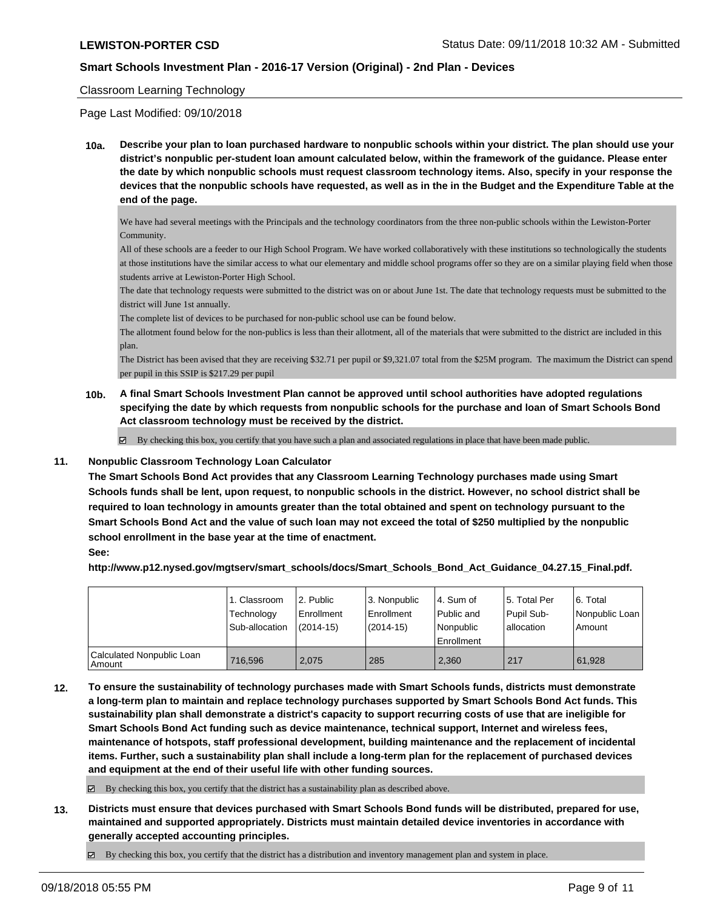#### Classroom Learning Technology

Page Last Modified: 09/10/2018

**10a. Describe your plan to loan purchased hardware to nonpublic schools within your district. The plan should use your district's nonpublic per-student loan amount calculated below, within the framework of the guidance. Please enter the date by which nonpublic schools must request classroom technology items. Also, specify in your response the devices that the nonpublic schools have requested, as well as in the in the Budget and the Expenditure Table at the end of the page.**

We have had several meetings with the Principals and the technology coordinators from the three non-public schools within the Lewiston-Porter Community.

All of these schools are a feeder to our High School Program. We have worked collaboratively with these institutions so technologically the students at those institutions have the similar access to what our elementary and middle school programs offer so they are on a similar playing field when those students arrive at Lewiston-Porter High School.

The date that technology requests were submitted to the district was on or about June 1st. The date that technology requests must be submitted to the district will June 1st annually.

The complete list of devices to be purchased for non-public school use can be found below.

The allotment found below for the non-publics is less than their allotment, all of the materials that were submitted to the district are included in this plan.

The District has been avised that they are receiving \$32.71 per pupil or \$9,321.07 total from the \$25M program. The maximum the District can spend per pupil in this SSIP is \$217.29 per pupil

**10b. A final Smart Schools Investment Plan cannot be approved until school authorities have adopted regulations specifying the date by which requests from nonpublic schools for the purchase and loan of Smart Schools Bond Act classroom technology must be received by the district.**

 $\boxtimes$  By checking this box, you certify that you have such a plan and associated regulations in place that have been made public.

#### **11. Nonpublic Classroom Technology Loan Calculator**

**The Smart Schools Bond Act provides that any Classroom Learning Technology purchases made using Smart Schools funds shall be lent, upon request, to nonpublic schools in the district. However, no school district shall be required to loan technology in amounts greater than the total obtained and spent on technology pursuant to the Smart Schools Bond Act and the value of such loan may not exceed the total of \$250 multiplied by the nonpublic school enrollment in the base year at the time of enactment.**

#### **See:**

**http://www.p12.nysed.gov/mgtserv/smart\_schools/docs/Smart\_Schools\_Bond\_Act\_Guidance\_04.27.15\_Final.pdf.**

|                                       | 1. Classroom<br>Technology<br>Sub-allocation | l 2. Public<br>Enrollment<br>$(2014 - 15)$ | 3. Nonpublic<br>Enrollment<br>$(2014-15)$ | 4. Sum of<br>Public and<br>l Nonpublic<br>Enrollment | 15. Total Per<br>Pupil Sub-<br>allocation | 6. Total<br>  Nonpublic Loan  <br>Amount |
|---------------------------------------|----------------------------------------------|--------------------------------------------|-------------------------------------------|------------------------------------------------------|-------------------------------------------|------------------------------------------|
| Calculated Nonpublic Loan<br>l Amount | 716.596                                      | 2.075                                      | 285                                       | 2.360                                                | 217                                       | 61.928                                   |

**12. To ensure the sustainability of technology purchases made with Smart Schools funds, districts must demonstrate a long-term plan to maintain and replace technology purchases supported by Smart Schools Bond Act funds. This sustainability plan shall demonstrate a district's capacity to support recurring costs of use that are ineligible for Smart Schools Bond Act funding such as device maintenance, technical support, Internet and wireless fees, maintenance of hotspots, staff professional development, building maintenance and the replacement of incidental items. Further, such a sustainability plan shall include a long-term plan for the replacement of purchased devices and equipment at the end of their useful life with other funding sources.**

 $\boxtimes$  By checking this box, you certify that the district has a sustainability plan as described above.

**13. Districts must ensure that devices purchased with Smart Schools Bond funds will be distributed, prepared for use, maintained and supported appropriately. Districts must maintain detailed device inventories in accordance with generally accepted accounting principles.**

 $\boxtimes$  By checking this box, you certify that the district has a distribution and inventory management plan and system in place.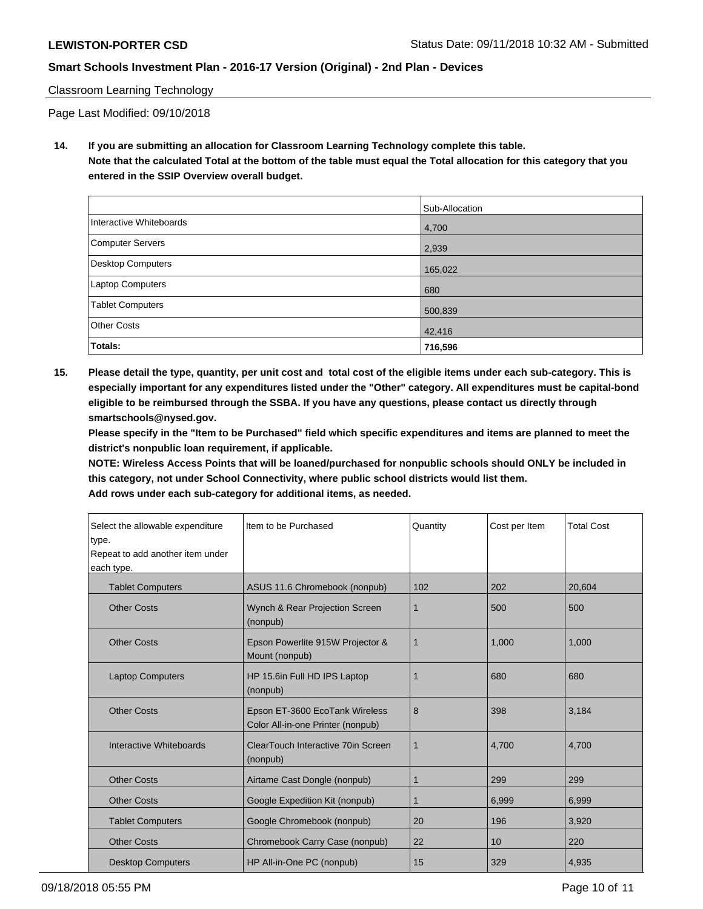# Classroom Learning Technology

Page Last Modified: 09/10/2018

**14. If you are submitting an allocation for Classroom Learning Technology complete this table. Note that the calculated Total at the bottom of the table must equal the Total allocation for this category that you entered in the SSIP Overview overall budget.**

|                         | Sub-Allocation |
|-------------------------|----------------|
| Interactive Whiteboards | 4,700          |
| Computer Servers        | 2,939          |
| Desktop Computers       | 165,022        |
| <b>Laptop Computers</b> | 680            |
| <b>Tablet Computers</b> | 500,839        |
| <b>Other Costs</b>      | 42,416         |
| Totals:                 | 716,596        |

**15. Please detail the type, quantity, per unit cost and total cost of the eligible items under each sub-category. This is especially important for any expenditures listed under the "Other" category. All expenditures must be capital-bond eligible to be reimbursed through the SSBA. If you have any questions, please contact us directly through smartschools@nysed.gov.**

**Please specify in the "Item to be Purchased" field which specific expenditures and items are planned to meet the district's nonpublic loan requirement, if applicable.**

**NOTE: Wireless Access Points that will be loaned/purchased for nonpublic schools should ONLY be included in this category, not under School Connectivity, where public school districts would list them.**

**Add rows under each sub-category for additional items, as needed.**

| Select the allowable expenditure<br>type.<br>Repeat to add another item under<br>each type. | Item to be Purchased                                                | Quantity    | Cost per Item | <b>Total Cost</b> |
|---------------------------------------------------------------------------------------------|---------------------------------------------------------------------|-------------|---------------|-------------------|
| <b>Tablet Computers</b>                                                                     | ASUS 11.6 Chromebook (nonpub)                                       | 102         | 202           | 20,604            |
| <b>Other Costs</b>                                                                          | Wynch & Rear Projection Screen<br>(nonpub)                          | 1           | 500           | 500               |
| <b>Other Costs</b>                                                                          | Epson Powerlite 915W Projector &<br>Mount (nonpub)                  | $\mathbf 1$ | 1.000         | 1,000             |
| <b>Laptop Computers</b>                                                                     | HP 15.6in Full HD IPS Laptop<br>(nonpub)                            |             | 680           | 680               |
| <b>Other Costs</b>                                                                          | Epson ET-3600 EcoTank Wireless<br>Color All-in-one Printer (nonpub) | 8           | 398           | 3,184             |
| Interactive Whiteboards                                                                     | ClearTouch Interactive 70in Screen<br>(nonpub)                      | 1           | 4.700         | 4,700             |
| <b>Other Costs</b>                                                                          | Airtame Cast Dongle (nonpub)                                        | 1           | 299           | 299               |
| <b>Other Costs</b>                                                                          | Google Expedition Kit (nonpub)                                      | 1           | 6,999         | 6,999             |
| <b>Tablet Computers</b>                                                                     | Google Chromebook (nonpub)                                          | 20          | 196           | 3,920             |
| <b>Other Costs</b>                                                                          | Chromebook Carry Case (nonpub)                                      | 22          | 10            | 220               |
| <b>Desktop Computers</b>                                                                    | HP All-in-One PC (nonpub)                                           | 15          | 329           | 4,935             |